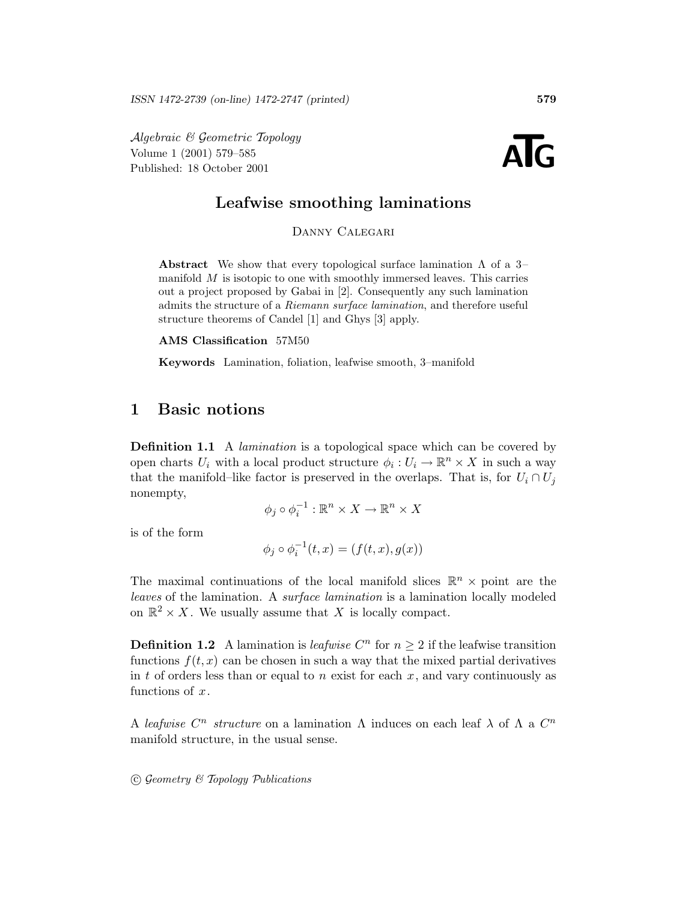Algebraic & Geometric Topology Volume 1 (2001) 579–585  $\mathcal{A}$ *lgebraic* & Geometric Topology<br>
Volume 1 (2001) 579–585<br>
Published: 18 October 2001

## **Leafwise smoothing laminations**

Danny Calegari

**Abstract** We show that every topological surface lamination Λ of a 3– manifold  $M$  is isotopic to one with smoothly immersed leaves. This carries out a project proposed by Gabai in [2]. Consequently any such lamination admits the structure of a Riemann surface lamination, and therefore useful structure theorems of Candel [1] and Ghys [3] apply.

**AMS Classification** 57M50

**Keywords** Lamination, foliation, leafwise smooth, 3–manifold

#### **1 Basic notions**

**Definition 1.1** A *lamination* is a topological space which can be covered by open charts  $U_i$  with a local product structure  $\phi_i: U_i \to \mathbb{R}^n \times X$  in such a way that the manifold–like factor is preserved in the overlaps. That is, for  $U_i \cap U_j$ nonempty,

$$
\phi_j \circ \phi_i^{-1} : \mathbb{R}^n \times X \to \mathbb{R}^n \times X
$$

is of the form

 $\phi_j \circ \phi_i^{-1}(t, x) = (f(t, x), g(x))$ 

The maximal continuations of the local manifold slices  $\mathbb{R}^n$  × point are the leaves of the lamination. A surface lamination is a lamination locally modeled on  $\mathbb{R}^2 \times X$ . We usually assume that X is locally compact.

**Definition 1.2** A lamination is *leafwise*  $C^n$  for  $n \geq 2$  if the leafwise transition functions  $f(t, x)$  can be chosen in such a way that the mixed partial derivatives in t of orders less than or equal to  $n$  exist for each  $x$ , and vary continuously as functions of  $x$ .

A leafwise  $C^n$  structure on a lamination  $\Lambda$  induces on each leaf  $\lambda$  of  $\Lambda$  a  $C^n$ manifold structure, in the usual sense.

 $\odot$  Geometry  $\&$  Topology Publications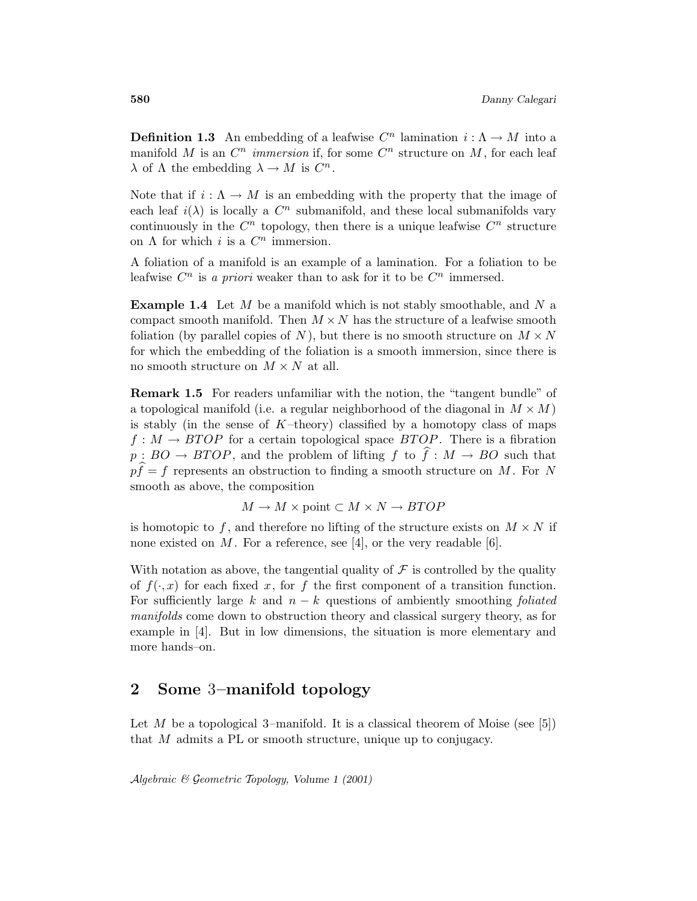**Definition 1.3** An embedding of a leafwise  $C^n$  lamination  $i : \Lambda \to M$  into a manifold M is an  $C^n$  immersion if, for some  $C^n$  structure on M, for each leaf  $\lambda$  of  $\Lambda$  the embedding  $\lambda \to M$  is  $C^n$ .

Note that if  $i : \Lambda \to M$  is an embedding with the property that the image of each leaf  $i(\lambda)$  is locally a  $C^n$  submanifold, and these local submanifolds vary continuously in the  $C^n$  topology, then there is a unique leafwise  $C^n$  structure on  $\Lambda$  for which i is a  $C^n$  immersion.

A foliation of a manifold is an example of a lamination. For a foliation to be leafwise  $C^n$  is a priori weaker than to ask for it to be  $C^n$  immersed.

**Example 1.4** Let M be a manifold which is not stably smoothable, and N a compact smooth manifold. Then  $M \times N$  has the structure of a leafwise smooth foliation (by parallel copies of N), but there is no smooth structure on  $M \times N$ for which the embedding of the foliation is a smooth immersion, since there is no smooth structure on  $M \times N$  at all.

**Remark 1.5** For readers unfamiliar with the notion, the "tangent bundle" of a topological manifold (i.e. a regular neighborhood of the diagonal in  $M \times M$ ) is stably (in the sense of  $K$ –theory) classified by a homotopy class of maps  $f: M \to BTOP$  for a certain topological space  $BTOP$ . There is a fibration  $p : BO \to BTOP$ , and the problem of lifting f to  $f : M \to BO$  such that  $pf = f$  represents an obstruction to finding a smooth structure on M. For N smooth as above, the composition

 $M \to M \times \text{point} \subset M \times N \to BTOP$ 

is homotopic to f, and therefore no lifting of the structure exists on  $M \times N$  if none existed on  $M$ . For a reference, see [4], or the very readable [6].

With notation as above, the tangential quality of  $\mathcal F$  is controlled by the quality of  $f(\cdot, x)$  for each fixed x, for f the first component of a transition function. For sufficiently large k and  $n - k$  questions of ambiently smoothing *foliated* manifolds come down to obstruction theory and classical surgery theory, as for example in [4]. But in low dimensions, the situation is more elementary and more hands–on.

# **2 Some** 3**–manifold topology**

Let M be a topological 3–manifold. It is a classical theorem of Moise (see [5]) that M admits a PL or smooth structure, unique up to conjugacy.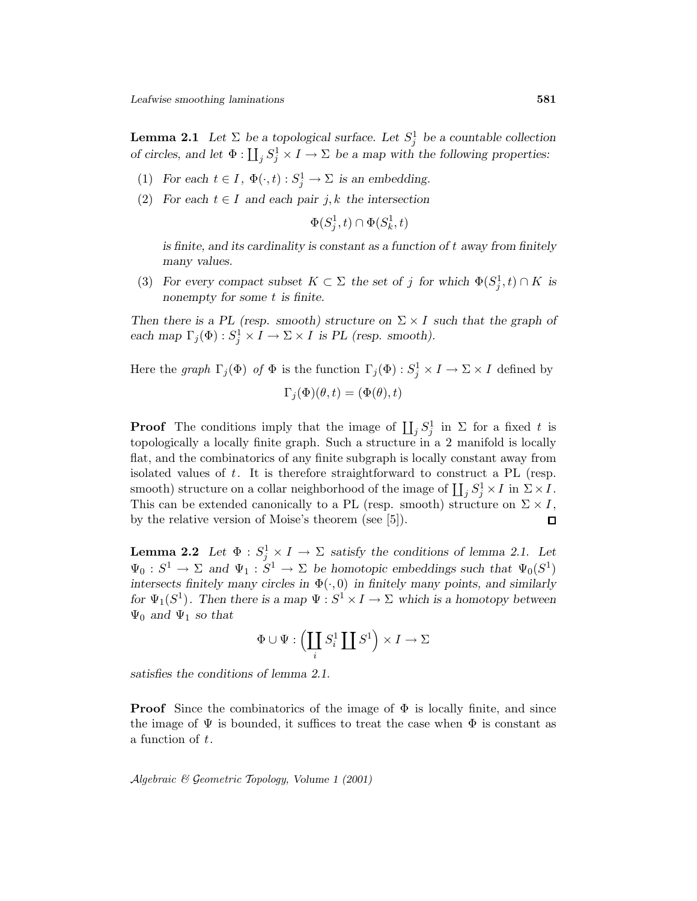**Lemma 2.1** *Let*  $\Sigma$  *be a topological surface. Let*  $S_j^1$  *be a countable collection of circles, and let*  $\Phi: \coprod_j S_j^1 \times I \to \Sigma$  *be a map with the following properties:* 

- (1) *For each*  $t \in I$ ,  $\Phi(\cdot, t) : S_j^1 \to \Sigma$  *is an embedding.*
- (2) For each  $t \in I$  and each pair j, k the intersection

 $\Phi(S_j^1,t) \cap \Phi(S_k^1,t)$ 

*is finite, and its cardinality is constant as a function of* t *away from finitely many values.*

(3) *For every compact subset*  $K \subset \Sigma$  *the set of j for which*  $\Phi(S_j^1, t) \cap K$  *is nonempty for some* t *is finite.*

*Then there is a PL (resp. smooth) structure on*  $\Sigma \times I$  *such that the graph of each map*  $\Gamma_j(\Phi) : S_j^1 \times I \to \Sigma \times I$  *is PL (resp. smooth).* 

Here the graph  $\Gamma_j(\Phi)$  of  $\Phi$  is the function  $\Gamma_j(\Phi) : S_j^1 \times I \to \Sigma \times I$  defined by

$$
\Gamma_j(\Phi)(\theta, t) = (\Phi(\theta), t)
$$

**Proof** The conditions imply that the image of  $\prod_j S_j^1$  in  $\Sigma$  for a fixed t is topologically a locally finite graph. Such a structure in a 2 manifold is locally flat, and the combinatorics of any finite subgraph is locally constant away from isolated values of t. It is therefore straightforward to construct a PL (resp. smooth) structure on a collar neighborhood of the image of  $\coprod_j S_j^1 \times I$  in  $\Sigma \times I$ . This can be extended canonically to a PL (resp. smooth) structure on  $\Sigma \times I$ , by the relative version of Moise's theorem (see [5]).  $\Box$ 

**Lemma 2.2** *Let*  $\Phi : S_j^1 \times I \to \Sigma$  *satisfy the conditions of lemma 2.1.* Let  $\Psi_0: S^1 \to \Sigma$  and  $\Psi_1: S^1 \to \Sigma$  be homotopic embeddings such that  $\Psi_0(S^1)$ *intersects finitely many circles in*  $\Phi(\cdot, 0)$  *in finitely many points, and similarly for*  $\Psi_1(S^1)$ *. Then there is a map*  $\Psi: S^1 \times I \to \Sigma$  *which is a homotopy between*  $\Psi_0$  *and*  $\Psi_1$  *so that* 

$$
\Phi \cup \Psi:\Bigl(\coprod_i S^1_i \coprod S^1\Bigr)\times I \to \Sigma
$$

*satisfies the conditions of lemma 2.1.*

**Proof** Since the combinatorics of the image of  $\Phi$  is locally finite, and since the image of  $\Psi$  is bounded, it suffices to treat the case when  $\Phi$  is constant as a function of t.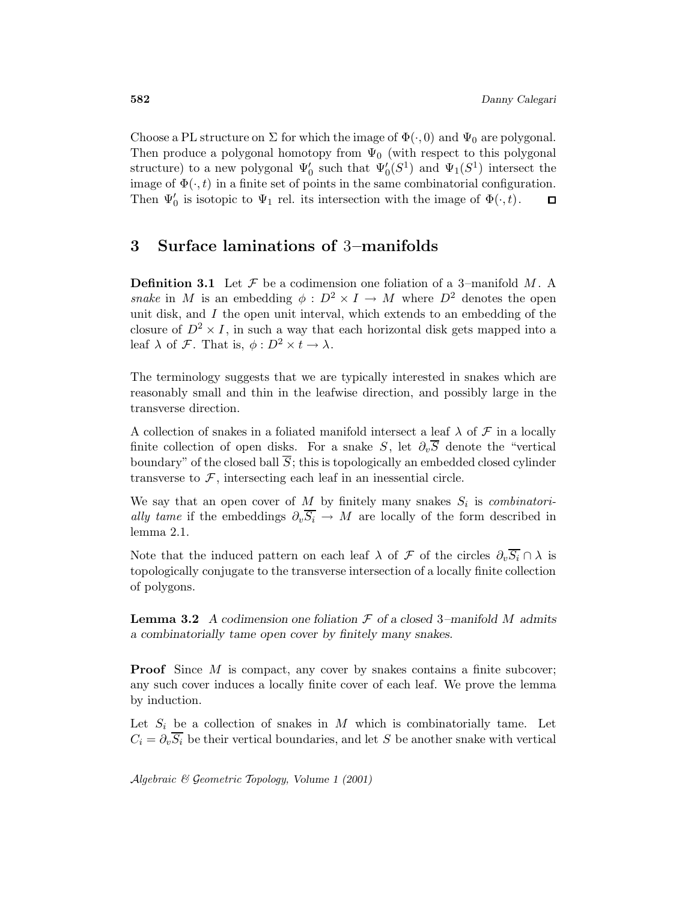Choose a PL structure on  $\Sigma$  for which the image of  $\Phi(\cdot,0)$  and  $\Psi_0$  are polygonal. Then produce a polygonal homotopy from  $\Psi_0$  (with respect to this polygonal structure) to a new polygonal  $\Psi'_0$  such that  $\Psi'_0(S^1)$  and  $\Psi_1(S^1)$  intersect the image of  $\Phi(\cdot, t)$  in a finite set of points in the same combinatorial configuration. Then  $\Psi'_0$  is isotopic to  $\Psi_1$  rel. its intersection with the image of  $\Phi(\cdot, t)$ .  $\Box$ 

### **3 Surface laminations of** 3**–manifolds**

**Definition 3.1** Let  $\mathcal F$  be a codimension one foliation of a 3–manifold  $M$ . A snake in M is an embedding  $\phi : D^2 \times I \to M$  where  $D^2$  denotes the open unit disk, and  $I$  the open unit interval, which extends to an embedding of the closure of  $D^2 \times I$ , in such a way that each horizontal disk gets mapped into a leaf  $\lambda$  of F. That is,  $\phi : D^2 \times t \to \lambda$ .

The terminology suggests that we are typically interested in snakes which are reasonably small and thin in the leafwise direction, and possibly large in the transverse direction.

A collection of snakes in a foliated manifold intersect a leaf  $\lambda$  of  $\mathcal F$  in a locally finite collection of open disks. For a snake S, let  $\partial_v\overline{S}$  denote the "vertical boundary" of the closed ball  $\overline{S}$ ; this is topologically an embedded closed cylinder transverse to  $\mathcal F$ , intersecting each leaf in an inessential circle.

We say that an open cover of  $M$  by finitely many snakes  $S_i$  is combinatorially tame if the embeddings  $\partial_v \overline{S_i} \to M$  are locally of the form described in lemma 2.1.

Note that the induced pattern on each leaf  $\lambda$  of  $\mathcal F$  of the circles  $\partial_v \overline{S_i} \cap \lambda$  is topologically conjugate to the transverse intersection of a locally finite collection of polygons.

**Lemma 3.2** *A codimension one foliation* F *of a closed* 3*–manifold* M *admits a combinatorially tame open cover by finitely many snakes.*

**Proof** Since M is compact, any cover by snakes contains a finite subcover; any such cover induces a locally finite cover of each leaf. We prove the lemma by induction.

Let  $S_i$  be a collection of snakes in M which is combinatorially tame. Let  $C_i = \partial_v \overline{S_i}$  be their vertical boundaries, and let S be another snake with vertical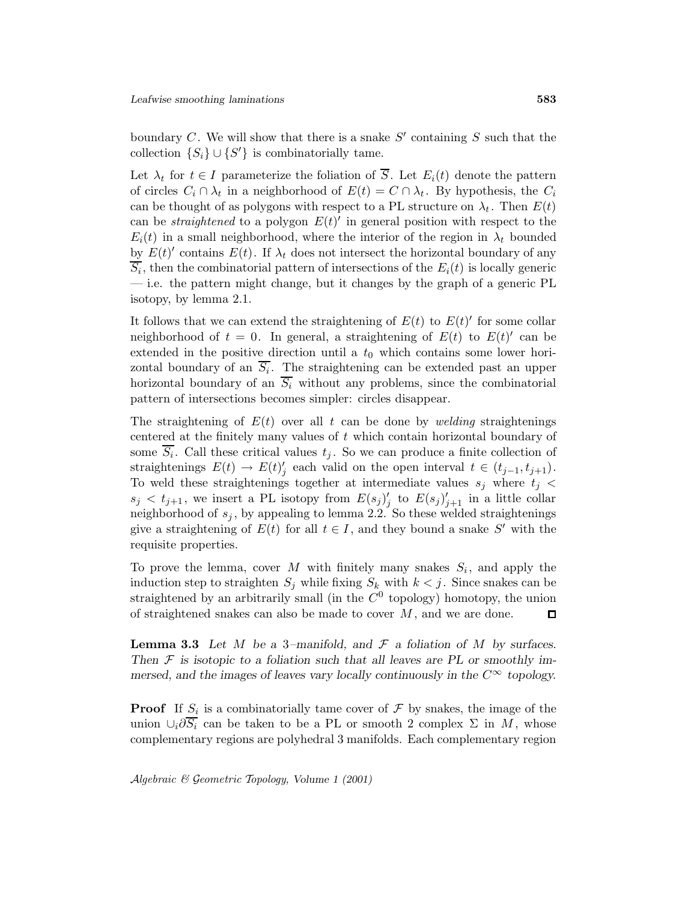boundary C. We will show that there is a snake  $S'$  containing S such that the collection  $\{S_i\} \cup \{S'\}$  is combinatorially tame.

Let  $\lambda_t$  for  $t \in I$  parameterize the foliation of  $\overline{S}$ . Let  $E_i(t)$  denote the pattern of circles  $C_i \cap \lambda_t$  in a neighborhood of  $E(t) = C \cap \lambda_t$ . By hypothesis, the  $C_i$ can be thought of as polygons with respect to a PL structure on  $\lambda_t$ . Then  $E(t)$ can be *straightened* to a polygon  $E(t)$  in general position with respect to the  $E_i(t)$  in a small neighborhood, where the interior of the region in  $\lambda_t$  bounded by  $E(t)$ ' contains  $E(t)$ . If  $\lambda_t$  does not intersect the horizontal boundary of any  $\overline{S_i}$ , then the combinatorial pattern of intersections of the  $E_i(t)$  is locally generic — i.e. the pattern might change, but it changes by the graph of a generic PL isotopy, by lemma 2.1.

It follows that we can extend the straightening of  $E(t)$  to  $E(t)$ <sup>'</sup> for some collar neighborhood of  $t = 0$ . In general, a straightening of  $E(t)$  to  $E(t)$ <sup>'</sup> can be extended in the positive direction until a  $t_0$  which contains some lower horizontal boundary of an  $\overline{S_i}$ . The straightening can be extended past an upper horizontal boundary of an  $\overline{S_i}$  without any problems, since the combinatorial pattern of intersections becomes simpler: circles disappear.

The straightening of  $E(t)$  over all t can be done by welding straightenings centered at the finitely many values of t which contain horizontal boundary of some  $\overline{S_i}$ . Call these critical values  $t_i$ . So we can produce a finite collection of straightenings  $E(t) \to E(t)$ <sup>'</sup> each valid on the open interval  $t \in (t_{j-1}, t_{j+1})$ . To weld these straightenings together at intermediate values  $s_j$  where  $t_j$  <  $s_j < t_{j+1}$ , we insert a PL isotopy from  $E(s_j)'_j$  to  $E(s_j)'_{j+1}$  in a little collar neighborhood of  $s_i$ , by appealing to lemma 2.2. So these welded straightenings give a straightening of  $E(t)$  for all  $t \in I$ , and they bound a snake S' with the requisite properties.

To prove the lemma, cover M with finitely many snakes  $S_i$ , and apply the induction step to straighten  $S_j$  while fixing  $S_k$  with  $k < j$ . Since snakes can be straightened by an arbitrarily small (in the  $C^0$  topology) homotopy, the union of straightened snakes can also be made to cover  $M$ , and we are done.  $\Box$ 

**Lemma 3.3** Let M be a 3-manifold, and  $\mathcal F$  a foliation of M by surfaces. Then F is isotopic to a foliation such that all leaves are PL or smoothly im*mersed, and the images of leaves vary locally continuously in the*  $C^{\infty}$  *topology.* 

**Proof** If  $S_i$  is a combinatorially tame cover of  $\mathcal F$  by snakes, the image of the union  $\cup_i \partial \overline{S_i}$  can be taken to be a PL or smooth 2 complex  $\Sigma$  in  $\overline{M}$ , whose complementary regions are polyhedral 3 manifolds. Each complementary region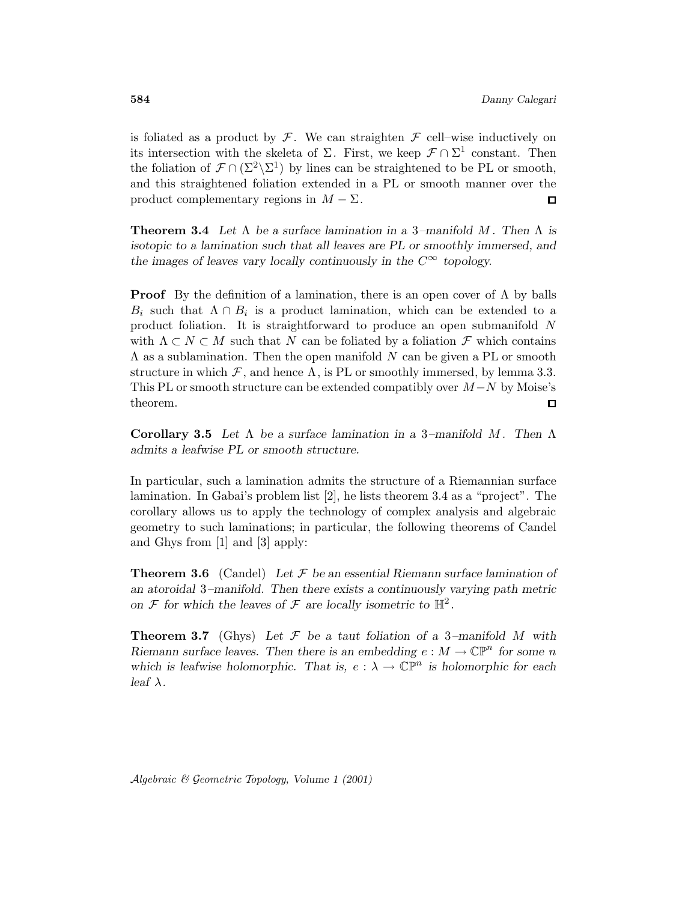is foliated as a product by  $\mathcal F$ . We can straighten  $\mathcal F$  cell–wise inductively on its intersection with the skeleta of  $\Sigma$ . First, we keep  $\mathcal{F} \cap \Sigma^1$  constant. Then the foliation of  $\mathcal{F} \cap (\Sigma^2 \backslash \Sigma^1)$  by lines can be straightened to be PL or smooth, and this straightened foliation extended in a PL or smooth manner over the product complementary regions in  $M - \Sigma$ . □

**Theorem 3.4** *Let* Λ *be a surface lamination in a* 3*–manifold* M *. Then* Λ *is isotopic to a lamination such that all leaves are PL or smoothly immersed, and the images of leaves vary locally continuously in the*  $C^{\infty}$  *topology.* 

**Proof** By the definition of a lamination, there is an open cover of  $\Lambda$  by balls  $B_i$  such that  $\Lambda \cap B_i$  is a product lamination, which can be extended to a product foliation. It is straightforward to produce an open submanifold N with  $\Lambda \subset N \subset M$  such that N can be foliated by a foliation F which contains  $\Lambda$  as a sublamination. Then the open manifold N can be given a PL or smooth structure in which  $\mathcal{F}$ , and hence  $\Lambda$ , is PL or smoothly immersed, by lemma 3.3. This PL or smooth structure can be extended compatibly over  $M-N$  by Moise's theorem.  $\Box$ 

**Corollary 3.5** *Let* Λ *be a surface lamination in a* 3*–manifold* M *. Then* Λ *admits a leafwise PL or smooth structure.*

In particular, such a lamination admits the structure of a Riemannian surface lamination. In Gabai's problem list [2], he lists theorem 3.4 as a "project". The corollary allows us to apply the technology of complex analysis and algebraic geometry to such laminations; in particular, the following theorems of Candel and Ghys from [1] and [3] apply:

**Theorem 3.6** (Candel) *Let* F *be an essential Riemann surface lamination of an atoroidal* 3*–manifold. Then there exists a continuously varying path metric* on  $\mathcal F$  for which the leaves of  $\mathcal F$  are locally isometric to  $\mathbb H^2$ .

**Theorem 3.7** (Ghys) *Let* F *be a taut foliation of a* 3*–manifold* M *with Riemann surface leaves. Then there is an embedding*  $e : M \to \mathbb{CP}^n$  *for some n which is leafwise holomorphic. That is,*  $e : \lambda \to \mathbb{CP}^n$  *is holomorphic for each leaf*  $\lambda$ *.*